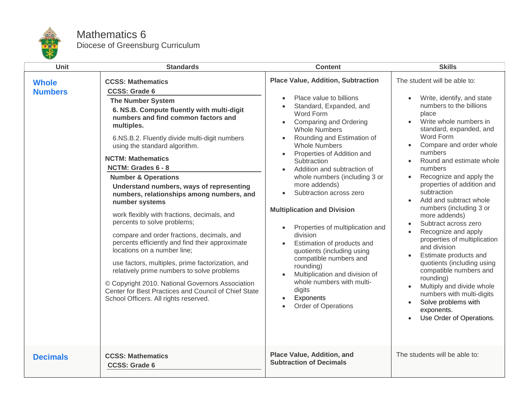

## Mathematics 6 Diocese of Greensburg Curriculum

| <b>Unit</b>                    | <b>Standards</b>                                                                                                                                                                                                                                                                                                                                                                                                                                                                                                                                                                                                                                                                                                                                                                                                                                                                                                                      | <b>Content</b>                                                                                                                                                                                                                                                                                                                                                                                                                                                                                                                                                                                                                                                                                                                                 | <b>Skills</b>                                                                                                                                                                                                                                                                                                                                                                                                                                                                                                                                                                                                                                                                                                                                              |
|--------------------------------|---------------------------------------------------------------------------------------------------------------------------------------------------------------------------------------------------------------------------------------------------------------------------------------------------------------------------------------------------------------------------------------------------------------------------------------------------------------------------------------------------------------------------------------------------------------------------------------------------------------------------------------------------------------------------------------------------------------------------------------------------------------------------------------------------------------------------------------------------------------------------------------------------------------------------------------|------------------------------------------------------------------------------------------------------------------------------------------------------------------------------------------------------------------------------------------------------------------------------------------------------------------------------------------------------------------------------------------------------------------------------------------------------------------------------------------------------------------------------------------------------------------------------------------------------------------------------------------------------------------------------------------------------------------------------------------------|------------------------------------------------------------------------------------------------------------------------------------------------------------------------------------------------------------------------------------------------------------------------------------------------------------------------------------------------------------------------------------------------------------------------------------------------------------------------------------------------------------------------------------------------------------------------------------------------------------------------------------------------------------------------------------------------------------------------------------------------------------|
| <b>Whole</b><br><b>Numbers</b> | <b>CCSS: Mathematics</b><br><b>CCSS: Grade 6</b><br><b>The Number System</b><br>6. NS.B. Compute fluently with multi-digit<br>numbers and find common factors and<br>multiples.<br>6.NS.B.2. Fluently divide multi-digit numbers<br>using the standard algorithm.<br><b>NCTM: Mathematics</b><br>NCTM: Grades 6 - 8<br><b>Number &amp; Operations</b><br>Understand numbers, ways of representing<br>numbers, relationships among numbers, and<br>number systems<br>work flexibly with fractions, decimals, and<br>percents to solve problems;<br>compare and order fractions, decimals, and<br>percents efficiently and find their approximate<br>locations on a number line;<br>use factors, multiples, prime factorization, and<br>relatively prime numbers to solve problems<br>© Copyright 2010. National Governors Association<br>Center for Best Practices and Council of Chief State<br>School Officers. All rights reserved. | <b>Place Value, Addition, Subtraction</b><br>Place value to billions<br>Standard, Expanded, and<br>Word Form<br><b>Comparing and Ordering</b><br>$\bullet$<br><b>Whole Numbers</b><br>Rounding and Estimation of<br><b>Whole Numbers</b><br>Properties of Addition and<br>$\bullet$<br>Subtraction<br>Addition and subtraction of<br>whole numbers (including 3 or<br>more addends)<br>Subtraction across zero<br><b>Multiplication and Division</b><br>Properties of multiplication and<br>division<br>Estimation of products and<br>$\bullet$<br>quotients (including using<br>compatible numbers and<br>rounding)<br>Multiplication and division of<br>whole numbers with multi-<br>digits<br>Exponents<br>$\bullet$<br>Order of Operations | The student will be able to:<br>Write, identify, and state<br>numbers to the billions<br>place<br>Write whole numbers in<br>standard, expanded, and<br>Word Form<br>Compare and order whole<br>numbers<br>Round and estimate whole<br>$\bullet$<br>numbers<br>Recognize and apply the<br>properties of addition and<br>subtraction<br>Add and subtract whole<br>numbers (including 3 or<br>more addends)<br>Subtract across zero<br>$\bullet$<br>Recognize and apply<br>properties of multiplication<br>and division<br>Estimate products and<br>quotients (including using<br>compatible numbers and<br>rounding)<br>Multiply and divide whole<br>numbers with multi-digits<br>Solve problems with<br>$\bullet$<br>exponents.<br>Use Order of Operations. |
| <b>Decimals</b>                | <b>CCSS: Mathematics</b><br><b>CCSS: Grade 6</b>                                                                                                                                                                                                                                                                                                                                                                                                                                                                                                                                                                                                                                                                                                                                                                                                                                                                                      | Place Value, Addition, and<br><b>Subtraction of Decimals</b>                                                                                                                                                                                                                                                                                                                                                                                                                                                                                                                                                                                                                                                                                   | The students will be able to:                                                                                                                                                                                                                                                                                                                                                                                                                                                                                                                                                                                                                                                                                                                              |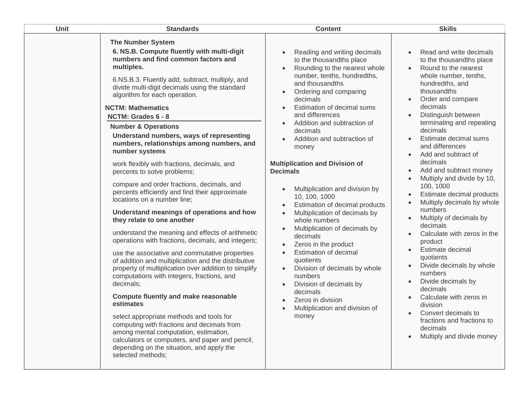| Unit | <b>Standards</b>                                                                                                                                                                                                                                                                                                                                                                                                                                                                                                                                                                                                                                                                                                                                                                                                                                                                                                                                                                                                                                                                                                                                                                                                                                                                                                                                                                                                    | <b>Content</b>                                                                                                                                                                                                                                                                                                                                                                                                                                                                                                                                                                                                                                                                                                                                                                                                                                                                                        | <b>Skills</b>                                                                                                                                                                                                                                                                                                                                                                                                                                                                                                                                                                                                                                                                                                                                                                                                                                                                   |
|------|---------------------------------------------------------------------------------------------------------------------------------------------------------------------------------------------------------------------------------------------------------------------------------------------------------------------------------------------------------------------------------------------------------------------------------------------------------------------------------------------------------------------------------------------------------------------------------------------------------------------------------------------------------------------------------------------------------------------------------------------------------------------------------------------------------------------------------------------------------------------------------------------------------------------------------------------------------------------------------------------------------------------------------------------------------------------------------------------------------------------------------------------------------------------------------------------------------------------------------------------------------------------------------------------------------------------------------------------------------------------------------------------------------------------|-------------------------------------------------------------------------------------------------------------------------------------------------------------------------------------------------------------------------------------------------------------------------------------------------------------------------------------------------------------------------------------------------------------------------------------------------------------------------------------------------------------------------------------------------------------------------------------------------------------------------------------------------------------------------------------------------------------------------------------------------------------------------------------------------------------------------------------------------------------------------------------------------------|---------------------------------------------------------------------------------------------------------------------------------------------------------------------------------------------------------------------------------------------------------------------------------------------------------------------------------------------------------------------------------------------------------------------------------------------------------------------------------------------------------------------------------------------------------------------------------------------------------------------------------------------------------------------------------------------------------------------------------------------------------------------------------------------------------------------------------------------------------------------------------|
|      | <b>The Number System</b><br>6. NS.B. Compute fluently with multi-digit<br>numbers and find common factors and<br>multiples.<br>6.NS.B.3. Fluently add, subtract, multiply, and<br>divide multi-digit decimals using the standard<br>algorithm for each operation.<br><b>NCTM: Mathematics</b><br>NCTM: Grades 6 - 8<br><b>Number &amp; Operations</b><br>Understand numbers, ways of representing<br>numbers, relationships among numbers, and<br>number systems<br>work flexibly with fractions, decimals, and<br>percents to solve problems;<br>compare and order fractions, decimals, and<br>percents efficiently and find their approximate<br>locations on a number line;<br>Understand meanings of operations and how<br>they relate to one another<br>understand the meaning and effects of arithmetic<br>operations with fractions, decimals, and integers;<br>use the associative and commutative properties<br>of addition and multiplication and the distributive<br>property of multiplication over addition to simplify<br>computations with integers, fractions, and<br>decimals;<br><b>Compute fluently and make reasonable</b><br>estimates<br>select appropriate methods and tools for<br>computing with fractions and decimals from<br>among mental computation, estimation,<br>calculators or computers, and paper and pencil,<br>depending on the situation, and apply the<br>selected methods: | Reading and writing decimals<br>$\bullet$<br>to the thousandths place<br>Rounding to the nearest whole<br>$\bullet$<br>number, tenths, hundredths,<br>and thousandths<br>Ordering and comparing<br>$\bullet$<br>decimals<br>Estimation of decimal sums<br>and differences<br>Addition and subtraction of<br>$\bullet$<br>decimals<br>Addition and subtraction of<br>money<br><b>Multiplication and Division of</b><br><b>Decimals</b><br>Multiplication and division by<br>$\bullet$<br>10, 100, 1000<br>Estimation of decimal products<br>$\bullet$<br>Multiplication of decimals by<br>whole numbers<br>Multiplication of decimals by<br>decimals<br>Zeros in the product<br><b>Estimation of decimal</b><br>quotients<br>Division of decimals by whole<br>$\bullet$<br>numbers<br>Division of decimals by<br>$\bullet$<br>decimals<br>Zeros in division<br>Multiplication and division of<br>money | Read and write decimals<br>to the thousandths place<br>Round to the nearest<br>$\bullet$<br>whole number, tenths,<br>hundredths, and<br>thousandths<br>Order and compare<br>$\bullet$<br>decimals<br>Distinguish between<br>$\bullet$<br>terminating and repeating<br>decimals<br>Estimate decimal sums<br>and differences<br>Add and subtract of<br>decimals<br>Add and subtract money<br>Multiply and divide by 10,<br>100, 1000<br>Estimate decimal products<br>$\bullet$<br>Multiply decimals by whole<br>numbers<br>Multiply of decimals by<br>decimals<br>Calculate with zeros in the<br>product<br>Estimate decimal<br>$\bullet$<br>quotients<br>Divide decimals by whole<br>numbers<br>Divide decimals by<br>$\bullet$<br>decimals<br>Calculate with zeros in<br>division<br>Convert decimals to<br>fractions and fractions to<br>decimals<br>Multiply and divide money |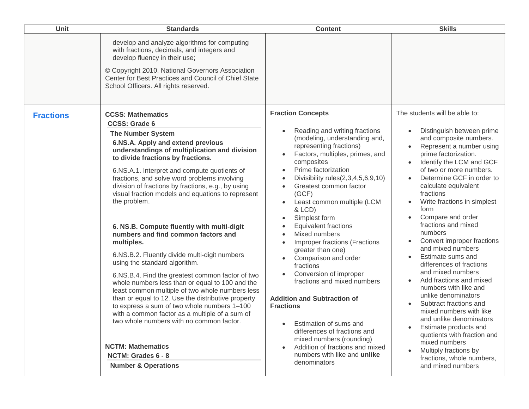| Unit             | <b>Standards</b>                                                                                                                                                                                                                                                                                                                                                                                                                                                                                                                                                                                                                                                                                                                                                                                                                                                                                                                                                                                                                                                         | <b>Content</b>                                                                                                                                                                                                                                                                                                                                                                                                                                                                                                                                                                                                                                                                                                                                                                                                                                                                                              | <b>Skills</b>                                                                                                                                                                                                                                                                                                                                                                                                                                                                                                                                                                                                                                                                                                                                                                                           |
|------------------|--------------------------------------------------------------------------------------------------------------------------------------------------------------------------------------------------------------------------------------------------------------------------------------------------------------------------------------------------------------------------------------------------------------------------------------------------------------------------------------------------------------------------------------------------------------------------------------------------------------------------------------------------------------------------------------------------------------------------------------------------------------------------------------------------------------------------------------------------------------------------------------------------------------------------------------------------------------------------------------------------------------------------------------------------------------------------|-------------------------------------------------------------------------------------------------------------------------------------------------------------------------------------------------------------------------------------------------------------------------------------------------------------------------------------------------------------------------------------------------------------------------------------------------------------------------------------------------------------------------------------------------------------------------------------------------------------------------------------------------------------------------------------------------------------------------------------------------------------------------------------------------------------------------------------------------------------------------------------------------------------|---------------------------------------------------------------------------------------------------------------------------------------------------------------------------------------------------------------------------------------------------------------------------------------------------------------------------------------------------------------------------------------------------------------------------------------------------------------------------------------------------------------------------------------------------------------------------------------------------------------------------------------------------------------------------------------------------------------------------------------------------------------------------------------------------------|
|                  | develop and analyze algorithms for computing<br>with fractions, decimals, and integers and<br>develop fluency in their use;<br>© Copyright 2010. National Governors Association<br>Center for Best Practices and Council of Chief State<br>School Officers. All rights reserved.                                                                                                                                                                                                                                                                                                                                                                                                                                                                                                                                                                                                                                                                                                                                                                                         |                                                                                                                                                                                                                                                                                                                                                                                                                                                                                                                                                                                                                                                                                                                                                                                                                                                                                                             |                                                                                                                                                                                                                                                                                                                                                                                                                                                                                                                                                                                                                                                                                                                                                                                                         |
| <b>Fractions</b> | <b>CCSS: Mathematics</b><br><b>CCSS: Grade 6</b><br><b>The Number System</b><br>6.NS.A. Apply and extend previous<br>understandings of multiplication and division<br>to divide fractions by fractions.<br>6.NS.A.1. Interpret and compute quotients of<br>fractions, and solve word problems involving<br>division of fractions by fractions, e.g., by using<br>visual fraction models and equations to represent<br>the problem.<br>6. NS.B. Compute fluently with multi-digit<br>numbers and find common factors and<br>multiples.<br>6.NS.B.2. Fluently divide multi-digit numbers<br>using the standard algorithm.<br>6.NS.B.4. Find the greatest common factor of two<br>whole numbers less than or equal to 100 and the<br>least common multiple of two whole numbers less<br>than or equal to 12. Use the distributive property<br>to express a sum of two whole numbers 1-100<br>with a common factor as a multiple of a sum of<br>two whole numbers with no common factor.<br><b>NCTM: Mathematics</b><br>NCTM: Grades 6 - 8<br><b>Number &amp; Operations</b> | <b>Fraction Concepts</b><br>Reading and writing fractions<br>$\bullet$<br>(modeling, understanding and,<br>representing fractions)<br>Factors, multiples, primes, and<br>$\bullet$<br>composites<br>Prime factorization<br>$\bullet$<br>Divisibility rules $(2,3,4,5,6,9,10)$<br>$\bullet$<br>Greatest common factor<br>(GCF)<br>Least common multiple (LCM<br>& LCD)<br>Simplest form<br>$\bullet$<br><b>Equivalent fractions</b><br>$\bullet$<br>Mixed numbers<br>$\bullet$<br>Improper fractions (Fractions<br>$\bullet$<br>greater than one)<br>Comparison and order<br>fractions<br>Conversion of improper<br>$\bullet$<br>fractions and mixed numbers<br><b>Addition and Subtraction of</b><br><b>Fractions</b><br>Estimation of sums and<br>differences of fractions and<br>mixed numbers (rounding)<br>Addition of fractions and mixed<br>$\bullet$<br>numbers with like and unlike<br>denominators | The students will be able to:<br>Distinguish between prime<br>and composite numbers.<br>Represent a number using<br>prime factorization.<br>Identify the LCM and GCF<br>of two or more numbers.<br>Determine GCF in order to<br>calculate equivalent<br>fractions<br>Write fractions in simplest<br>form<br>Compare and order<br>fractions and mixed<br>numbers<br>Convert improper fractions<br>and mixed numbers<br>Estimate sums and<br>differences of fractions<br>and mixed numbers<br>Add fractions and mixed<br>numbers with like and<br>unlike denominators<br>Subtract fractions and<br>mixed numbers with like<br>and unlike denominators<br>Estimate products and<br>quotients with fraction and<br>mixed numbers<br>Multiply fractions by<br>fractions, whole numbers,<br>and mixed numbers |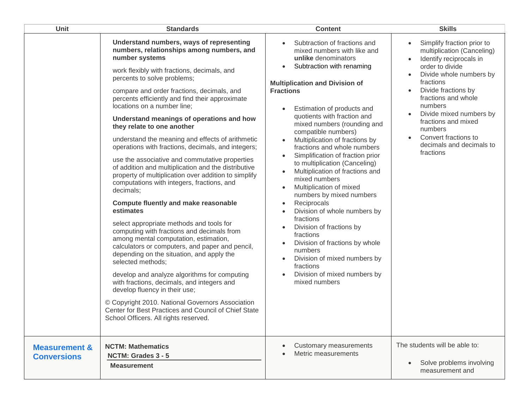| Unit                                           | <b>Standards</b>                                                                                                                                                                                                                                                                                                                                                                                                                                                                                                                                                                                                                                                                                                                                                                                                                                                                                                                                                                                                                                                                                                                                                                                                                                                                                                                               | <b>Content</b>                                                                                                                                                                                                                                                                                                                                                                                                                                                                                                                                                                                                                                                                                                                                                                                                                                                                                           | <b>Skills</b>                                                                                                                                                                                                                                                                                                                         |
|------------------------------------------------|------------------------------------------------------------------------------------------------------------------------------------------------------------------------------------------------------------------------------------------------------------------------------------------------------------------------------------------------------------------------------------------------------------------------------------------------------------------------------------------------------------------------------------------------------------------------------------------------------------------------------------------------------------------------------------------------------------------------------------------------------------------------------------------------------------------------------------------------------------------------------------------------------------------------------------------------------------------------------------------------------------------------------------------------------------------------------------------------------------------------------------------------------------------------------------------------------------------------------------------------------------------------------------------------------------------------------------------------|----------------------------------------------------------------------------------------------------------------------------------------------------------------------------------------------------------------------------------------------------------------------------------------------------------------------------------------------------------------------------------------------------------------------------------------------------------------------------------------------------------------------------------------------------------------------------------------------------------------------------------------------------------------------------------------------------------------------------------------------------------------------------------------------------------------------------------------------------------------------------------------------------------|---------------------------------------------------------------------------------------------------------------------------------------------------------------------------------------------------------------------------------------------------------------------------------------------------------------------------------------|
|                                                | Understand numbers, ways of representing<br>numbers, relationships among numbers, and<br>number systems<br>work flexibly with fractions, decimals, and<br>percents to solve problems;<br>compare and order fractions, decimals, and<br>percents efficiently and find their approximate<br>locations on a number line;<br>Understand meanings of operations and how<br>they relate to one another<br>understand the meaning and effects of arithmetic<br>operations with fractions, decimals, and integers;<br>use the associative and commutative properties<br>of addition and multiplication and the distributive<br>property of multiplication over addition to simplify<br>computations with integers, fractions, and<br>decimals;<br><b>Compute fluently and make reasonable</b><br>estimates<br>select appropriate methods and tools for<br>computing with fractions and decimals from<br>among mental computation, estimation,<br>calculators or computers, and paper and pencil,<br>depending on the situation, and apply the<br>selected methods;<br>develop and analyze algorithms for computing<br>with fractions, decimals, and integers and<br>develop fluency in their use;<br>© Copyright 2010. National Governors Association<br>Center for Best Practices and Council of Chief State<br>School Officers. All rights reserved. | Subtraction of fractions and<br>mixed numbers with like and<br>unlike denominators<br>Subtraction with renaming<br>$\bullet$<br><b>Multiplication and Division of</b><br><b>Fractions</b><br>Estimation of products and<br>quotients with fraction and<br>mixed numbers (rounding and<br>compatible numbers)<br>Multiplication of fractions by<br>fractions and whole numbers<br>Simplification of fraction prior<br>$\bullet$<br>to multiplication (Canceling)<br>Multiplication of fractions and<br>$\bullet$<br>mixed numbers<br>Multiplication of mixed<br>numbers by mixed numbers<br>Reciprocals<br>$\bullet$<br>Division of whole numbers by<br>$\bullet$<br>fractions<br>Division of fractions by<br>$\bullet$<br>fractions<br>Division of fractions by whole<br>$\bullet$<br>numbers<br>Division of mixed numbers by<br>$\bullet$<br>fractions<br>Division of mixed numbers by<br>mixed numbers | Simplify fraction prior to<br>multiplication (Canceling)<br>Identify reciprocals in<br>order to divide<br>Divide whole numbers by<br>fractions<br>Divide fractions by<br>fractions and whole<br>numbers<br>Divide mixed numbers by<br>fractions and mixed<br>numbers<br>Convert fractions to<br>decimals and decimals to<br>fractions |
| <b>Measurement &amp;</b><br><b>Conversions</b> | <b>NCTM: Mathematics</b><br>NCTM: Grades 3 - 5<br><b>Measurement</b>                                                                                                                                                                                                                                                                                                                                                                                                                                                                                                                                                                                                                                                                                                                                                                                                                                                                                                                                                                                                                                                                                                                                                                                                                                                                           | Customary measurements<br>Metric measurements                                                                                                                                                                                                                                                                                                                                                                                                                                                                                                                                                                                                                                                                                                                                                                                                                                                            | The students will be able to:<br>Solve problems involving<br>measurement and                                                                                                                                                                                                                                                          |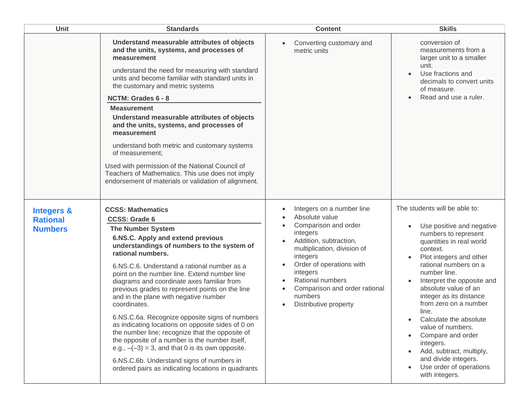| Unit                                                       | <b>Standards</b>                                                                                                                                                                                                                                                                                                                                                                                                                                                                                                                                                                                                                                                                                                                                                                                                    | <b>Content</b>                                                                                                                                                                                                                                                                                     | <b>Skills</b>                                                                                                                                                                                                                                                                                                                                                                                                                                                                                       |
|------------------------------------------------------------|---------------------------------------------------------------------------------------------------------------------------------------------------------------------------------------------------------------------------------------------------------------------------------------------------------------------------------------------------------------------------------------------------------------------------------------------------------------------------------------------------------------------------------------------------------------------------------------------------------------------------------------------------------------------------------------------------------------------------------------------------------------------------------------------------------------------|----------------------------------------------------------------------------------------------------------------------------------------------------------------------------------------------------------------------------------------------------------------------------------------------------|-----------------------------------------------------------------------------------------------------------------------------------------------------------------------------------------------------------------------------------------------------------------------------------------------------------------------------------------------------------------------------------------------------------------------------------------------------------------------------------------------------|
|                                                            | Understand measurable attributes of objects<br>and the units, systems, and processes of<br>measurement<br>understand the need for measuring with standard<br>units and become familiar with standard units in<br>the customary and metric systems<br>NCTM: Grades 6 - 8<br><b>Measurement</b><br>Understand measurable attributes of objects<br>and the units, systems, and processes of<br>measurement<br>understand both metric and customary systems<br>of measurement;<br>Used with permission of the National Council of<br>Teachers of Mathematics. This use does not imply<br>endorsement of materials or validation of alignment.                                                                                                                                                                           | Converting customary and<br>metric units                                                                                                                                                                                                                                                           | conversion of<br>measurements from a<br>larger unit to a smaller<br>unit.<br>Use fractions and<br>decimals to convert units<br>of measure.<br>Read and use a ruler.                                                                                                                                                                                                                                                                                                                                 |
| <b>Integers &amp;</b><br><b>Rational</b><br><b>Numbers</b> | <b>CCSS: Mathematics</b><br><b>CCSS: Grade 6</b><br><b>The Number System</b><br>6.NS.C. Apply and extend previous<br>understandings of numbers to the system of<br>rational numbers.<br>6.NS.C.6. Understand a rational number as a<br>point on the number line. Extend number line<br>diagrams and coordinate axes familiar from<br>previous grades to represent points on the line<br>and in the plane with negative number<br>coordinates.<br>6.NS.C.6a. Recognize opposite signs of numbers<br>as indicating locations on opposite sides of 0 on<br>the number line; recognize that the opposite of<br>the opposite of a number is the number itself,<br>e.g., $-(-3) = 3$ , and that 0 is its own opposite.<br>6.NS.C.6b. Understand signs of numbers in<br>ordered pairs as indicating locations in quadrants | Integers on a number line<br>Absolute value<br>Comparison and order<br>$\bullet$<br>integers<br>Addition, subtraction,<br>multiplication, division of<br>integers<br>Order of operations with<br>integers<br>Rational numbers<br>Comparison and order rational<br>numbers<br>Distributive property | The students will be able to:<br>Use positive and negative<br>numbers to represent<br>quantities in real world<br>context.<br>Plot integers and other<br>rational numbers on a<br>number line.<br>Interpret the opposite and<br>absolute value of an<br>integer as its distance<br>from zero on a number<br>line.<br>Calculate the absolute<br>value of numbers.<br>Compare and order<br>integers.<br>Add, subtract, multiply,<br>and divide integers.<br>Use order of operations<br>with integers. |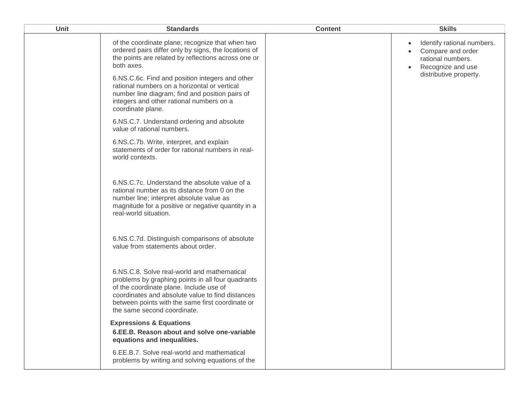| Unit | <b>Standards</b>                                                                                                                                                                                                                                                                   | <b>Content</b> | <b>Skills</b>                                                                                          |
|------|------------------------------------------------------------------------------------------------------------------------------------------------------------------------------------------------------------------------------------------------------------------------------------|----------------|--------------------------------------------------------------------------------------------------------|
|      | of the coordinate plane; recognize that when two<br>ordered pairs differ only by signs, the locations of<br>the points are related by reflections across one or<br>both axes.                                                                                                      |                | Identify rational numbers.<br>$\bullet$<br>Compare and order<br>rational numbers.<br>Recognize and use |
|      | 6.NS.C.6c. Find and position integers and other<br>rational numbers on a horizontal or vertical<br>number line diagram; find and position pairs of<br>integers and other rational numbers on a<br>coordinate plane.                                                                |                | distributive property.                                                                                 |
|      | 6.NS.C.7. Understand ordering and absolute<br>value of rational numbers.                                                                                                                                                                                                           |                |                                                                                                        |
|      | 6.NS.C.7b. Write, interpret, and explain<br>statements of order for rational numbers in real-<br>world contexts.                                                                                                                                                                   |                |                                                                                                        |
|      | 6.NS.C.7c. Understand the absolute value of a<br>rational number as its distance from 0 on the<br>number line; interpret absolute value as<br>magnitude for a positive or negative quantity in a<br>real-world situation.                                                          |                |                                                                                                        |
|      | 6.NS.C.7d. Distinguish comparisons of absolute<br>value from statements about order.                                                                                                                                                                                               |                |                                                                                                        |
|      | 6.NS.C.8. Solve real-world and mathematical<br>problems by graphing points in all four quadrants<br>of the coordinate plane. Include use of<br>coordinates and absolute value to find distances<br>between points with the same first coordinate or<br>the same second coordinate. |                |                                                                                                        |
|      | <b>Expressions &amp; Equations</b><br>6.EE.B. Reason about and solve one-variable<br>equations and inequalities.                                                                                                                                                                   |                |                                                                                                        |
|      | 6.EE.B.7. Solve real-world and mathematical<br>problems by writing and solving equations of the                                                                                                                                                                                    |                |                                                                                                        |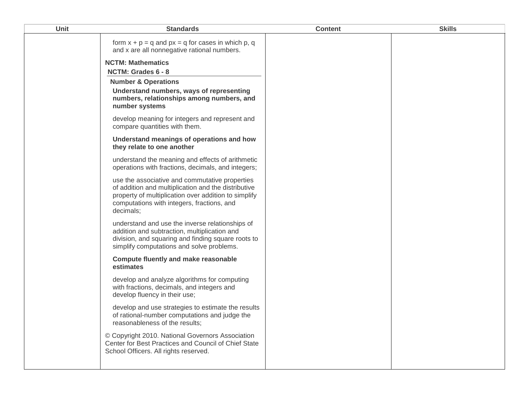| <b>Unit</b> | <b>Standards</b>                                                                                                                                                                                                         | <b>Content</b> | <b>Skills</b> |
|-------------|--------------------------------------------------------------------------------------------------------------------------------------------------------------------------------------------------------------------------|----------------|---------------|
|             | form $x + p = q$ and $px = q$ for cases in which p, q<br>and x are all nonnegative rational numbers.                                                                                                                     |                |               |
|             | <b>NCTM: Mathematics</b>                                                                                                                                                                                                 |                |               |
|             | NCTM: Grades 6 - 8                                                                                                                                                                                                       |                |               |
|             | <b>Number &amp; Operations</b>                                                                                                                                                                                           |                |               |
|             | Understand numbers, ways of representing<br>numbers, relationships among numbers, and<br>number systems                                                                                                                  |                |               |
|             | develop meaning for integers and represent and<br>compare quantities with them.                                                                                                                                          |                |               |
|             | Understand meanings of operations and how<br>they relate to one another                                                                                                                                                  |                |               |
|             | understand the meaning and effects of arithmetic<br>operations with fractions, decimals, and integers;                                                                                                                   |                |               |
|             | use the associative and commutative properties<br>of addition and multiplication and the distributive<br>property of multiplication over addition to simplify<br>computations with integers, fractions, and<br>decimals; |                |               |
|             | understand and use the inverse relationships of<br>addition and subtraction, multiplication and<br>division, and squaring and finding square roots to<br>simplify computations and solve problems.                       |                |               |
|             | <b>Compute fluently and make reasonable</b><br>estimates                                                                                                                                                                 |                |               |
|             | develop and analyze algorithms for computing<br>with fractions, decimals, and integers and<br>develop fluency in their use;                                                                                              |                |               |
|             | develop and use strategies to estimate the results<br>of rational-number computations and judge the<br>reasonableness of the results;                                                                                    |                |               |
|             | © Copyright 2010. National Governors Association<br>Center for Best Practices and Council of Chief State<br>School Officers. All rights reserved.                                                                        |                |               |
|             |                                                                                                                                                                                                                          |                |               |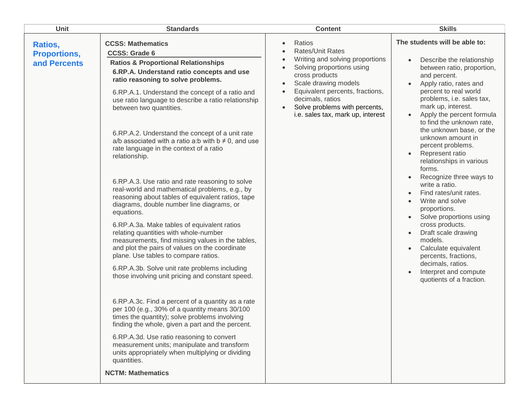| Unit                                           | <b>Standards</b>                                                                                                                                                                                                                                                                                                                                                                                                                                                                                                                                                                                                                                                                                                                                                                                                                                                                                                                                                                                                                                                                                                                                                                                                                                                                                                                                                                                                                                                             | <b>Content</b>                                                                                                                                                                                                                                                                                                                                               | <b>Skills</b>                                                                                                                                                                                                                                                                                                                                                                                                                                                                                                                                                                                                                                                                                                                                                                                                          |
|------------------------------------------------|------------------------------------------------------------------------------------------------------------------------------------------------------------------------------------------------------------------------------------------------------------------------------------------------------------------------------------------------------------------------------------------------------------------------------------------------------------------------------------------------------------------------------------------------------------------------------------------------------------------------------------------------------------------------------------------------------------------------------------------------------------------------------------------------------------------------------------------------------------------------------------------------------------------------------------------------------------------------------------------------------------------------------------------------------------------------------------------------------------------------------------------------------------------------------------------------------------------------------------------------------------------------------------------------------------------------------------------------------------------------------------------------------------------------------------------------------------------------------|--------------------------------------------------------------------------------------------------------------------------------------------------------------------------------------------------------------------------------------------------------------------------------------------------------------------------------------------------------------|------------------------------------------------------------------------------------------------------------------------------------------------------------------------------------------------------------------------------------------------------------------------------------------------------------------------------------------------------------------------------------------------------------------------------------------------------------------------------------------------------------------------------------------------------------------------------------------------------------------------------------------------------------------------------------------------------------------------------------------------------------------------------------------------------------------------|
| Ratios,<br><b>Proportions,</b><br>and Percents | <b>CCSS: Mathematics</b><br><b>CCSS: Grade 6</b><br><b>Ratios &amp; Proportional Relationships</b><br>6.RP.A. Understand ratio concepts and use<br>ratio reasoning to solve problems.<br>6.RP.A.1. Understand the concept of a ratio and<br>use ratio language to describe a ratio relationship<br>between two quantities.<br>6.RP.A.2. Understand the concept of a unit rate<br>a/b associated with a ratio a:b with $b \neq 0$ , and use<br>rate language in the context of a ratio<br>relationship.<br>6.RP.A.3. Use ratio and rate reasoning to solve<br>real-world and mathematical problems, e.g., by<br>reasoning about tables of equivalent ratios, tape<br>diagrams, double number line diagrams, or<br>equations.<br>6.RP.A.3a. Make tables of equivalent ratios<br>relating quantities with whole-number<br>measurements, find missing values in the tables,<br>and plot the pairs of values on the coordinate<br>plane. Use tables to compare ratios.<br>6.RP.A.3b. Solve unit rate problems including<br>those involving unit pricing and constant speed.<br>6.RP.A.3c. Find a percent of a quantity as a rate<br>per 100 (e.g., 30% of a quantity means 30/100<br>times the quantity); solve problems involving<br>finding the whole, given a part and the percent.<br>6.RP.A.3d. Use ratio reasoning to convert<br>measurement units; manipulate and transform<br>units appropriately when multiplying or dividing<br>quantities.<br><b>NCTM: Mathematics</b> | Ratios<br>$\bullet$<br>Rates/Unit Rates<br>$\bullet$<br>Writing and solving proportions<br>$\bullet$<br>Solving proportions using<br>$\bullet$<br>cross products<br>Scale drawing models<br>$\bullet$<br>Equivalent percents, fractions,<br>$\bullet$<br>decimals, ratios<br>Solve problems with percents,<br>$\bullet$<br>i.e. sales tax, mark up, interest | The students will be able to:<br>Describe the relationship<br>$\bullet$<br>between ratio, proportion,<br>and percent.<br>Apply ratio, rates and<br>$\bullet$<br>percent to real world<br>problems, i.e. sales tax,<br>mark up, interest.<br>Apply the percent formula<br>$\bullet$<br>to find the unknown rate,<br>the unknown base, or the<br>unknown amount in<br>percent problems.<br>Represent ratio<br>$\bullet$<br>relationships in various<br>forms.<br>Recognize three ways to<br>write a ratio.<br>Find rates/unit rates.<br>Write and solve<br>$\bullet$<br>proportions.<br>Solve proportions using<br>cross products.<br>Draft scale drawing<br>$\bullet$<br>models.<br>Calculate equivalent<br>percents, fractions,<br>decimals, ratios.<br>Interpret and compute<br>$\bullet$<br>quotients of a fraction. |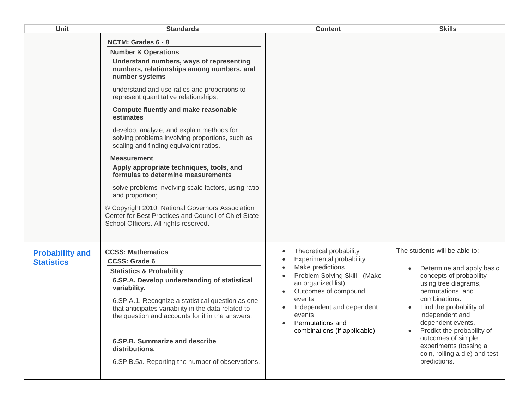| Unit                                        | <b>Standards</b>                                                                                                                                                                                                                                                                                                                                                                                                                                                                                                                                                                                                                                                                                                                                                                                      | <b>Content</b>                                                                                                                                                                                                                                                     | <b>Skills</b>                                                                                                                                                                                                                                                                                                                                         |
|---------------------------------------------|-------------------------------------------------------------------------------------------------------------------------------------------------------------------------------------------------------------------------------------------------------------------------------------------------------------------------------------------------------------------------------------------------------------------------------------------------------------------------------------------------------------------------------------------------------------------------------------------------------------------------------------------------------------------------------------------------------------------------------------------------------------------------------------------------------|--------------------------------------------------------------------------------------------------------------------------------------------------------------------------------------------------------------------------------------------------------------------|-------------------------------------------------------------------------------------------------------------------------------------------------------------------------------------------------------------------------------------------------------------------------------------------------------------------------------------------------------|
|                                             | NCTM: Grades 6 - 8<br><b>Number &amp; Operations</b><br>Understand numbers, ways of representing<br>numbers, relationships among numbers, and<br>number systems<br>understand and use ratios and proportions to<br>represent quantitative relationships;<br><b>Compute fluently and make reasonable</b><br>estimates<br>develop, analyze, and explain methods for<br>solving problems involving proportions, such as<br>scaling and finding equivalent ratios.<br><b>Measurement</b><br>Apply appropriate techniques, tools, and<br>formulas to determine measurements<br>solve problems involving scale factors, using ratio<br>and proportion;<br>© Copyright 2010. National Governors Association<br>Center for Best Practices and Council of Chief State<br>School Officers. All rights reserved. |                                                                                                                                                                                                                                                                    |                                                                                                                                                                                                                                                                                                                                                       |
| <b>Probability and</b><br><b>Statistics</b> | <b>CCSS: Mathematics</b><br><b>CCSS: Grade 6</b><br><b>Statistics &amp; Probability</b><br>6.SP.A. Develop understanding of statistical<br>variability.<br>6.SP.A.1. Recognize a statistical question as one<br>that anticipates variability in the data related to<br>the question and accounts for it in the answers.<br>6.SP.B. Summarize and describe<br>distributions.<br>6.SP.B.5a. Reporting the number of observations.                                                                                                                                                                                                                                                                                                                                                                       | Theoretical probability<br><b>Experimental probability</b><br>Make predictions<br>Problem Solving Skill - (Make<br>an organized list)<br>Outcomes of compound<br>events<br>Independent and dependent<br>events<br>Permutations and<br>combinations (if applicable) | The students will be able to:<br>Determine and apply basic<br>concepts of probability<br>using tree diagrams,<br>permutations, and<br>combinations.<br>Find the probability of<br>independent and<br>dependent events.<br>Predict the probability of<br>outcomes of simple<br>experiments (tossing a<br>coin, rolling a die) and test<br>predictions. |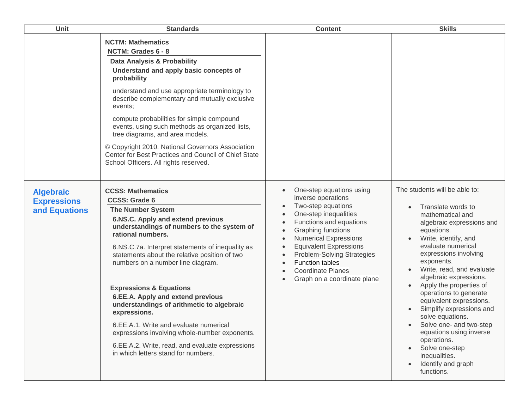| <b>Unit</b>                                             | <b>Standards</b>                                                                                                                                                                                                                                                                                                                                                                                                                                                                                                                                                                                                                                            | <b>Content</b>                                                                                                                                                                                                                                                                                                                                                                                                                                          | <b>Skills</b>                                                                                                                                                                                                                                                                                                                                                                                                                                                                                                                              |
|---------------------------------------------------------|-------------------------------------------------------------------------------------------------------------------------------------------------------------------------------------------------------------------------------------------------------------------------------------------------------------------------------------------------------------------------------------------------------------------------------------------------------------------------------------------------------------------------------------------------------------------------------------------------------------------------------------------------------------|---------------------------------------------------------------------------------------------------------------------------------------------------------------------------------------------------------------------------------------------------------------------------------------------------------------------------------------------------------------------------------------------------------------------------------------------------------|--------------------------------------------------------------------------------------------------------------------------------------------------------------------------------------------------------------------------------------------------------------------------------------------------------------------------------------------------------------------------------------------------------------------------------------------------------------------------------------------------------------------------------------------|
|                                                         | <b>NCTM: Mathematics</b><br>NCTM: Grades 6 - 8<br>Data Analysis & Probability<br>Understand and apply basic concepts of<br>probability<br>understand and use appropriate terminology to<br>describe complementary and mutually exclusive<br>events:<br>compute probabilities for simple compound<br>events, using such methods as organized lists,<br>tree diagrams, and area models.<br>© Copyright 2010. National Governors Association<br>Center for Best Practices and Council of Chief State<br>School Officers. All rights reserved.                                                                                                                  |                                                                                                                                                                                                                                                                                                                                                                                                                                                         |                                                                                                                                                                                                                                                                                                                                                                                                                                                                                                                                            |
| <b>Algebraic</b><br><b>Expressions</b><br>and Equations | <b>CCSS: Mathematics</b><br><b>CCSS: Grade 6</b><br><b>The Number System</b><br>6.NS.C. Apply and extend previous<br>understandings of numbers to the system of<br>rational numbers.<br>6.NS.C.7a. Interpret statements of inequality as<br>statements about the relative position of two<br>numbers on a number line diagram.<br><b>Expressions &amp; Equations</b><br>6.EE.A. Apply and extend previous<br>understandings of arithmetic to algebraic<br>expressions.<br>6.EE.A.1. Write and evaluate numerical<br>expressions involving whole-number exponents.<br>6.EE.A.2. Write, read, and evaluate expressions<br>in which letters stand for numbers. | One-step equations using<br>$\bullet$<br>inverse operations<br>Two-step equations<br>$\bullet$<br>One-step inequalities<br>$\bullet$<br>Functions and equations<br>$\bullet$<br>Graphing functions<br>$\bullet$<br><b>Numerical Expressions</b><br>$\bullet$<br><b>Equivalent Expressions</b><br>$\bullet$<br>Problem-Solving Strategies<br>$\bullet$<br><b>Function tables</b><br>$\bullet$<br><b>Coordinate Planes</b><br>Graph on a coordinate plane | The students will be able to:<br>Translate words to<br>mathematical and<br>algebraic expressions and<br>equations.<br>Write, identify, and<br>evaluate numerical<br>expressions involving<br>exponents.<br>Write, read, and evaluate<br>algebraic expressions.<br>Apply the properties of<br>operations to generate<br>equivalent expressions.<br>Simplify expressions and<br>solve equations.<br>Solve one- and two-step<br>equations using inverse<br>operations.<br>Solve one-step<br>inequalities.<br>Identify and graph<br>functions. |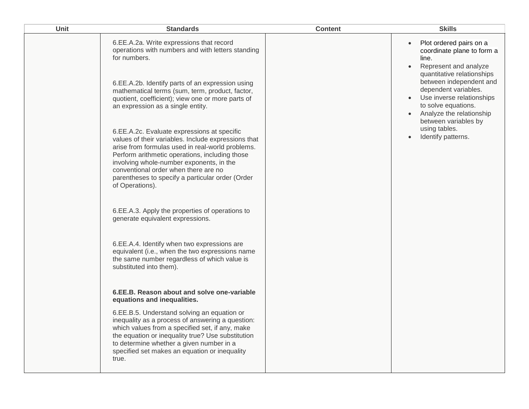| 6.EE.A.2a. Write expressions that record<br>Plot ordered pairs on a<br>$\bullet$<br>operations with numbers and with letters standing<br>coordinate plane to form a<br>for numbers.<br>line.<br>Represent and analyze<br>$\bullet$<br>quantitative relationships<br>between independent and<br>6.EE.A.2b. Identify parts of an expression using<br>dependent variables.<br>mathematical terms (sum, term, product, factor,<br>Use inverse relationships<br>quotient, coefficient); view one or more parts of<br>to solve equations.<br>an expression as a single entity.<br>Analyze the relationship<br>between variables by<br>using tables.<br>6.EE.A.2c. Evaluate expressions at specific<br>Identify patterns.                                                                                                                                                                                                               | <b>Unit</b> | <b>Standards</b>                                    | <b>Content</b> | <b>Skills</b> |
|----------------------------------------------------------------------------------------------------------------------------------------------------------------------------------------------------------------------------------------------------------------------------------------------------------------------------------------------------------------------------------------------------------------------------------------------------------------------------------------------------------------------------------------------------------------------------------------------------------------------------------------------------------------------------------------------------------------------------------------------------------------------------------------------------------------------------------------------------------------------------------------------------------------------------------|-------------|-----------------------------------------------------|----------------|---------------|
| arise from formulas used in real-world problems.<br>Perform arithmetic operations, including those<br>involving whole-number exponents, in the<br>conventional order when there are no<br>parentheses to specify a particular order (Order<br>of Operations).<br>6.EE.A.3. Apply the properties of operations to<br>generate equivalent expressions.<br>6.EE.A.4. Identify when two expressions are<br>equivalent (i.e., when the two expressions name<br>the same number regardless of which value is<br>substituted into them).<br>6.EE.B. Reason about and solve one-variable<br>equations and inequalities.<br>6.EE.B.5. Understand solving an equation or<br>inequality as a process of answering a question:<br>which values from a specified set, if any, make<br>the equation or inequality true? Use substitution<br>to determine whether a given number in a<br>specified set makes an equation or inequality<br>true. |             | values of their variables. Include expressions that |                |               |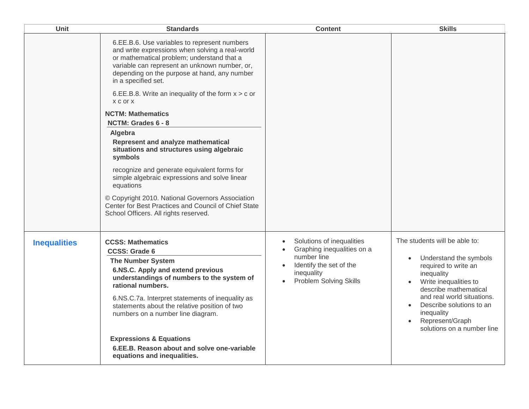| Unit                | <b>Standards</b>                                                                                                                                                                                                                                                                                                                                                                                                                                                                                                                                                                                                                                                                                                                                                           | <b>Content</b>                                                                                                                                                | <b>Skills</b>                                                                                                                                                                                                                                                            |
|---------------------|----------------------------------------------------------------------------------------------------------------------------------------------------------------------------------------------------------------------------------------------------------------------------------------------------------------------------------------------------------------------------------------------------------------------------------------------------------------------------------------------------------------------------------------------------------------------------------------------------------------------------------------------------------------------------------------------------------------------------------------------------------------------------|---------------------------------------------------------------------------------------------------------------------------------------------------------------|--------------------------------------------------------------------------------------------------------------------------------------------------------------------------------------------------------------------------------------------------------------------------|
|                     | 6.EE.B.6. Use variables to represent numbers<br>and write expressions when solving a real-world<br>or mathematical problem; understand that a<br>variable can represent an unknown number, or,<br>depending on the purpose at hand, any number<br>in a specified set.<br>6.EE.B.8. Write an inequality of the form $x > c$ or<br><b>XCOLX</b><br><b>NCTM: Mathematics</b><br>NCTM: Grades 6 - 8<br>Algebra<br>Represent and analyze mathematical<br>situations and structures using algebraic<br>symbols<br>recognize and generate equivalent forms for<br>simple algebraic expressions and solve linear<br>equations<br>© Copyright 2010. National Governors Association<br>Center for Best Practices and Council of Chief State<br>School Officers. All rights reserved. |                                                                                                                                                               |                                                                                                                                                                                                                                                                          |
| <b>Inequalities</b> | <b>CCSS: Mathematics</b><br><b>CCSS: Grade 6</b><br><b>The Number System</b><br>6.NS.C. Apply and extend previous<br>understandings of numbers to the system of<br>rational numbers.<br>6.NS.C.7a. Interpret statements of inequality as<br>statements about the relative position of two<br>numbers on a number line diagram.<br><b>Expressions &amp; Equations</b><br>6.EE.B. Reason about and solve one-variable<br>equations and inequalities.                                                                                                                                                                                                                                                                                                                         | Solutions of inequalities<br>Graphing inequalities on a<br>number line<br>Identify the set of the<br>inequality<br><b>Problem Solving Skills</b><br>$\bullet$ | The students will be able to:<br>Understand the symbols<br>required to write an<br>inequality<br>Write inequalities to<br>describe mathematical<br>and real world situations.<br>Describe solutions to an<br>inequality<br>Represent/Graph<br>solutions on a number line |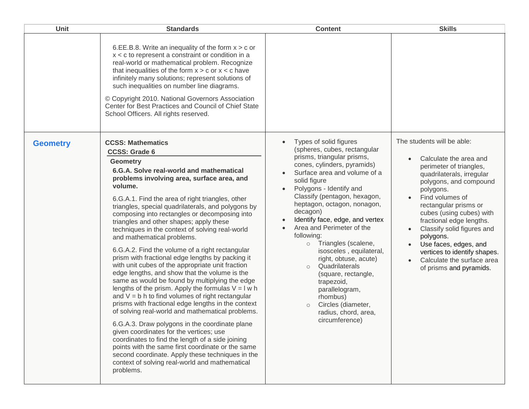| <b>Unit</b>     | <b>Standards</b>                                                                                                                                                                                                                                                                                                                                                                                                                                                                                                                                                                                                                                                                                                                                                                                                                                                                                                                                                                                                                                                                                                                                                                                                                                                               | <b>Content</b>                                                                                                                                                                                                                                                                                                                                                                                                                                                                                                                                                                                                                                                                            | <b>Skills</b>                                                                                                                                                                                                                                                                                                                                                                                                        |
|-----------------|--------------------------------------------------------------------------------------------------------------------------------------------------------------------------------------------------------------------------------------------------------------------------------------------------------------------------------------------------------------------------------------------------------------------------------------------------------------------------------------------------------------------------------------------------------------------------------------------------------------------------------------------------------------------------------------------------------------------------------------------------------------------------------------------------------------------------------------------------------------------------------------------------------------------------------------------------------------------------------------------------------------------------------------------------------------------------------------------------------------------------------------------------------------------------------------------------------------------------------------------------------------------------------|-------------------------------------------------------------------------------------------------------------------------------------------------------------------------------------------------------------------------------------------------------------------------------------------------------------------------------------------------------------------------------------------------------------------------------------------------------------------------------------------------------------------------------------------------------------------------------------------------------------------------------------------------------------------------------------------|----------------------------------------------------------------------------------------------------------------------------------------------------------------------------------------------------------------------------------------------------------------------------------------------------------------------------------------------------------------------------------------------------------------------|
|                 | 6.EE.B.8. Write an inequality of the form $x > c$ or<br>$x < c$ to represent a constraint or condition in a<br>real-world or mathematical problem. Recognize<br>that inequalities of the form $x > c$ or $x < c$ have<br>infinitely many solutions; represent solutions of<br>such inequalities on number line diagrams.<br>© Copyright 2010. National Governors Association<br>Center for Best Practices and Council of Chief State<br>School Officers. All rights reserved.                                                                                                                                                                                                                                                                                                                                                                                                                                                                                                                                                                                                                                                                                                                                                                                                  |                                                                                                                                                                                                                                                                                                                                                                                                                                                                                                                                                                                                                                                                                           |                                                                                                                                                                                                                                                                                                                                                                                                                      |
| <b>Geometry</b> | <b>CCSS: Mathematics</b><br><b>CCSS: Grade 6</b><br><b>Geometry</b><br>6.G.A. Solve real-world and mathematical<br>problems involving area, surface area, and<br>volume.<br>6.G.A.1. Find the area of right triangles, other<br>triangles, special quadrilaterals, and polygons by<br>composing into rectangles or decomposing into<br>triangles and other shapes; apply these<br>techniques in the context of solving real-world<br>and mathematical problems.<br>6.G.A.2. Find the volume of a right rectangular<br>prism with fractional edge lengths by packing it<br>with unit cubes of the appropriate unit fraction<br>edge lengths, and show that the volume is the<br>same as would be found by multiplying the edge<br>lengths of the prism. Apply the formulas $V = I w h$<br>and $V = b$ h to find volumes of right rectangular<br>prisms with fractional edge lengths in the context<br>of solving real-world and mathematical problems.<br>6.G.A.3. Draw polygons in the coordinate plane<br>given coordinates for the vertices; use<br>coordinates to find the length of a side joining<br>points with the same first coordinate or the same<br>second coordinate. Apply these techniques in the<br>context of solving real-world and mathematical<br>problems. | Types of solid figures<br>$\bullet$<br>(spheres, cubes, rectangular<br>prisms, triangular prisms,<br>cones, cylinders, pyramids)<br>Surface area and volume of a<br>$\bullet$<br>solid figure<br>Polygons - Identify and<br>$\bullet$<br>Classify (pentagon, hexagon,<br>heptagon, octagon, nonagon,<br>decagon)<br>Identify face, edge, and vertex<br>$\bullet$<br>Area and Perimeter of the<br>$\bullet$<br>following:<br>Triangles (scalene,<br>$\circ$<br>isosceles, equilateral,<br>right, obtuse, acute)<br>Quadrilaterals<br>$\circ$<br>(square, rectangle,<br>trapezoid,<br>parallelogram,<br>rhombus)<br>Circles (diameter,<br>$\circ$<br>radius, chord, area,<br>circumference) | The students will be able:<br>Calculate the area and<br>perimeter of triangles,<br>quadrilaterals, irregular<br>polygons, and compound<br>polygons.<br>Find volumes of<br>rectangular prisms or<br>cubes (using cubes) with<br>fractional edge lengths.<br>Classify solid figures and<br>polygons.<br>Use faces, edges, and<br>vertices to identify shapes.<br>Calculate the surface area<br>of prisms and pyramids. |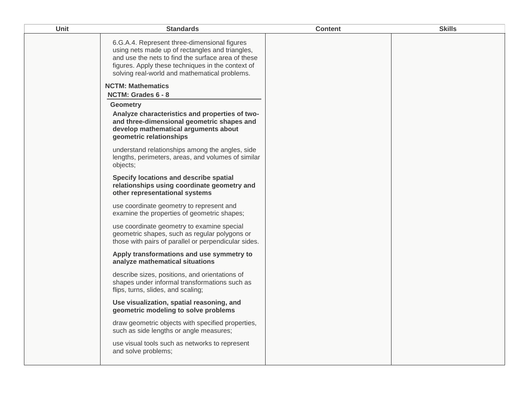| <b>Unit</b> | <b>Standards</b>                                                                                                                                                                                                                                            | <b>Content</b> | <b>Skills</b> |
|-------------|-------------------------------------------------------------------------------------------------------------------------------------------------------------------------------------------------------------------------------------------------------------|----------------|---------------|
|             | 6.G.A.4. Represent three-dimensional figures<br>using nets made up of rectangles and triangles,<br>and use the nets to find the surface area of these<br>figures. Apply these techniques in the context of<br>solving real-world and mathematical problems. |                |               |
|             | <b>NCTM: Mathematics</b>                                                                                                                                                                                                                                    |                |               |
|             | NCTM: Grades 6 - 8                                                                                                                                                                                                                                          |                |               |
|             | <b>Geometry</b><br>Analyze characteristics and properties of two-<br>and three-dimensional geometric shapes and<br>develop mathematical arguments about<br>geometric relationships                                                                          |                |               |
|             | understand relationships among the angles, side<br>lengths, perimeters, areas, and volumes of similar<br>objects;                                                                                                                                           |                |               |
|             | Specify locations and describe spatial<br>relationships using coordinate geometry and<br>other representational systems                                                                                                                                     |                |               |
|             | use coordinate geometry to represent and<br>examine the properties of geometric shapes;                                                                                                                                                                     |                |               |
|             | use coordinate geometry to examine special<br>geometric shapes, such as regular polygons or<br>those with pairs of parallel or perpendicular sides.                                                                                                         |                |               |
|             | Apply transformations and use symmetry to<br>analyze mathematical situations                                                                                                                                                                                |                |               |
|             | describe sizes, positions, and orientations of<br>shapes under informal transformations such as<br>flips, turns, slides, and scaling;                                                                                                                       |                |               |
|             | Use visualization, spatial reasoning, and<br>geometric modeling to solve problems                                                                                                                                                                           |                |               |
|             | draw geometric objects with specified properties,<br>such as side lengths or angle measures;                                                                                                                                                                |                |               |
|             | use visual tools such as networks to represent<br>and solve problems;                                                                                                                                                                                       |                |               |
|             |                                                                                                                                                                                                                                                             |                |               |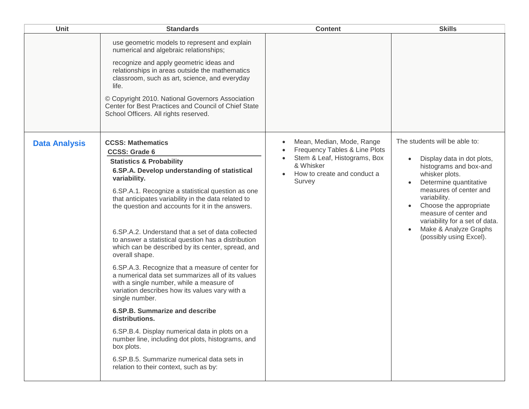| <b>Unit</b>          | <b>Standards</b>                                                                                                                                                                                                                                                                                                                                                                                                                                                                                                                                                                                                                                                                                                                                                                                                                                                                                                                                                                                        | <b>Content</b>                                                                                                                                                                          | <b>Skills</b>                                                                                                                                                                                                                                                                                                        |
|----------------------|---------------------------------------------------------------------------------------------------------------------------------------------------------------------------------------------------------------------------------------------------------------------------------------------------------------------------------------------------------------------------------------------------------------------------------------------------------------------------------------------------------------------------------------------------------------------------------------------------------------------------------------------------------------------------------------------------------------------------------------------------------------------------------------------------------------------------------------------------------------------------------------------------------------------------------------------------------------------------------------------------------|-----------------------------------------------------------------------------------------------------------------------------------------------------------------------------------------|----------------------------------------------------------------------------------------------------------------------------------------------------------------------------------------------------------------------------------------------------------------------------------------------------------------------|
|                      | use geometric models to represent and explain<br>numerical and algebraic relationships;<br>recognize and apply geometric ideas and<br>relationships in areas outside the mathematics<br>classroom, such as art, science, and everyday<br>life.<br>© Copyright 2010. National Governors Association<br>Center for Best Practices and Council of Chief State<br>School Officers. All rights reserved.                                                                                                                                                                                                                                                                                                                                                                                                                                                                                                                                                                                                     |                                                                                                                                                                                         |                                                                                                                                                                                                                                                                                                                      |
| <b>Data Analysis</b> | <b>CCSS: Mathematics</b><br><b>CCSS: Grade 6</b><br><b>Statistics &amp; Probability</b><br>6.SP.A. Develop understanding of statistical<br>variability.<br>6.SP.A.1. Recognize a statistical question as one<br>that anticipates variability in the data related to<br>the question and accounts for it in the answers.<br>6. SP. A. 2. Understand that a set of data collected<br>to answer a statistical question has a distribution<br>which can be described by its center, spread, and<br>overall shape.<br>6.SP.A.3. Recognize that a measure of center for<br>a numerical data set summarizes all of its values<br>with a single number, while a measure of<br>variation describes how its values vary with a<br>single number.<br>6.SP.B. Summarize and describe<br>distributions.<br>6.SP.B.4. Display numerical data in plots on a<br>number line, including dot plots, histograms, and<br>box plots.<br>6.SP.B.5. Summarize numerical data sets in<br>relation to their context, such as by: | Mean, Median, Mode, Range<br>$\bullet$<br>Frequency Tables & Line Plots<br>Stem & Leaf, Histograms, Box<br>$\bullet$<br>& Whisker<br>How to create and conduct a<br>$\bullet$<br>Survey | The students will be able to:<br>Display data in dot plots,<br>histograms and box-and<br>whisker plots.<br>Determine quantitative<br>measures of center and<br>variability.<br>Choose the appropriate<br>measure of center and<br>variability for a set of data.<br>Make & Analyze Graphs<br>(possibly using Excel). |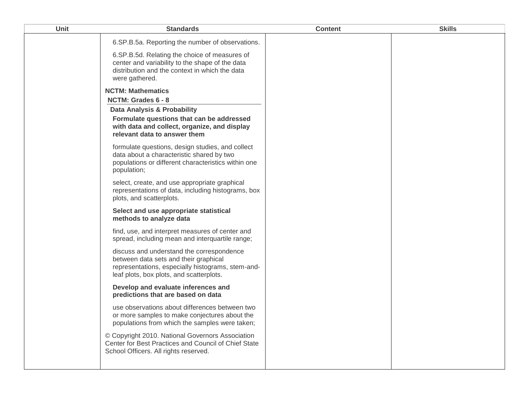| <b>Unit</b> | <b>Standards</b>                                                                                                                                                                    | <b>Content</b> | <b>Skills</b> |
|-------------|-------------------------------------------------------------------------------------------------------------------------------------------------------------------------------------|----------------|---------------|
|             | 6.SP.B.5a. Reporting the number of observations.                                                                                                                                    |                |               |
|             | 6. SP. B. 5d. Relating the choice of measures of<br>center and variability to the shape of the data<br>distribution and the context in which the data<br>were gathered.             |                |               |
|             | <b>NCTM: Mathematics</b>                                                                                                                                                            |                |               |
|             | NCTM: Grades 6 - 8                                                                                                                                                                  |                |               |
|             | Data Analysis & Probability                                                                                                                                                         |                |               |
|             | Formulate questions that can be addressed<br>with data and collect, organize, and display<br>relevant data to answer them                                                           |                |               |
|             | formulate questions, design studies, and collect<br>data about a characteristic shared by two<br>populations or different characteristics within one<br>population;                 |                |               |
|             | select, create, and use appropriate graphical<br>representations of data, including histograms, box<br>plots, and scatterplots.                                                     |                |               |
|             | Select and use appropriate statistical<br>methods to analyze data                                                                                                                   |                |               |
|             | find, use, and interpret measures of center and<br>spread, including mean and interquartile range;                                                                                  |                |               |
|             | discuss and understand the correspondence<br>between data sets and their graphical<br>representations, especially histograms, stem-and-<br>leaf plots, box plots, and scatterplots. |                |               |
|             | Develop and evaluate inferences and<br>predictions that are based on data                                                                                                           |                |               |
|             | use observations about differences between two<br>or more samples to make conjectures about the<br>populations from which the samples were taken;                                   |                |               |
|             | © Copyright 2010. National Governors Association<br>Center for Best Practices and Council of Chief State<br>School Officers. All rights reserved.                                   |                |               |
|             |                                                                                                                                                                                     |                |               |